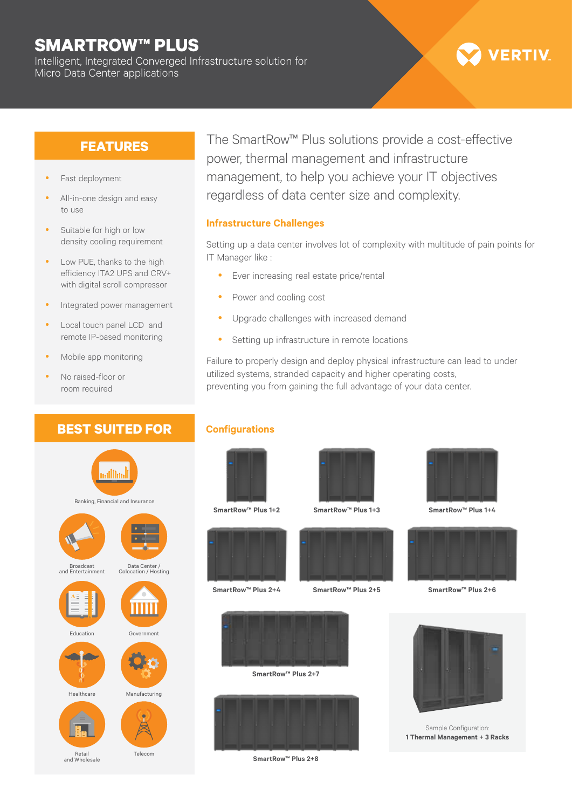## **SMARTROW™ PLUS**

Intelligent, Integrated Converged Infrastructure solution for Micro Data Center applications

# **VERTIV**

### **FEATURES**

- Fast deployment
- All-in-one design and easy to use
- Suitable for high or low density cooling requirement
- Low PUE, thanks to the high efficiency ITA2 UPS and CRV+ with digital scroll compressor
- Integrated power management
- Local touch panel LCD and remote IP-based monitoring
- Mobile app monitoring
- No raised-floor or room required

### **BEST SUITED FOR**

The SmartRow™ Plus solutions provide a cost-effective power, thermal management and infrastructure management, to help you achieve your IT objectives regardless of data center size and complexity.

#### **Infrastructure Challenges**

Setting up a data center involves lot of complexity with multitude of pain points for IT Manager like :

- Ever increasing real estate price/rental
- Power and cooling cost
- Upgrade challenges with increased demand
- Setting up infrastructure in remote locations

Failure to properly design and deploy physical infrastructure can lead to under utilized systems, stranded capacity and higher operating costs, preventing you from gaining the full advantage of your data center.

### **Configurations**



**SmartRow™ Plus 1+2**



**SmartRow™ Plus 2+4**



**SmartRow™ Plus 2+5**



**SmartRow™ Plus 1+4**



**SmartRow™ Plus 2+6**



#### Sample Configuration: **1 Thermal Management + 3 Racks**



**SmartRow™ Plus 2+7**



**SmartRow™ Plus 2+8**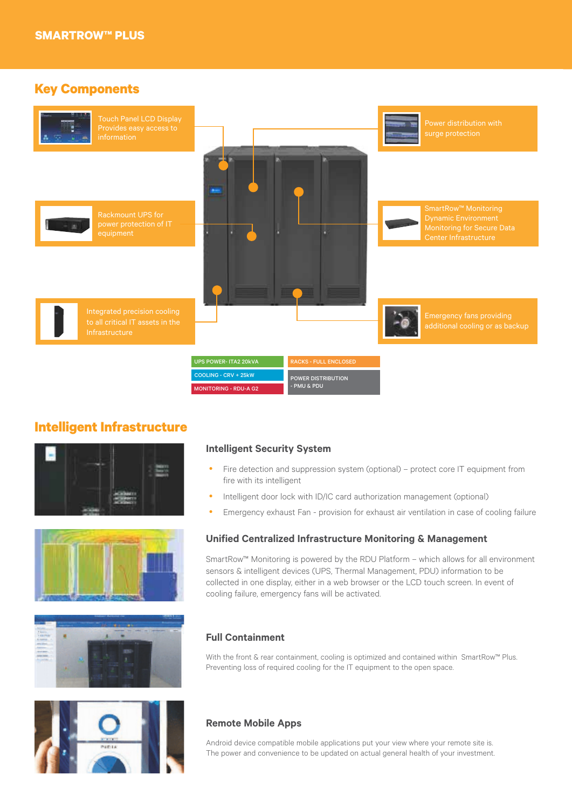### **Key Components**



### **Intelligent Infrastructure**









#### **Intelligent Security System**

- Fire detection and suppression system (optional) protect core IT equipment from fire with its intelligent
- Intelligent door lock with ID/IC card authorization management (optional)
- Emergency exhaust Fan provision for exhaust air ventilation in case of cooling failure

#### **Unified Centralized Infrastructure Monitoring & Management**

SmartRow™ Monitoring is powered by the RDU Platform – which allows for all environment sensors & intelligent devices (UPS, Thermal Management, PDU) information to be collected in one display, either in a web browser or the LCD touch screen. In event of cooling failure, emergency fans will be activated.

#### **Full Containment**

With the front & rear containment, cooling is optimized and contained within SmartRow™ Plus. Preventing loss of required cooling for the IT equipment to the open space.

#### **Remote Mobile Apps**

Android device compatible mobile applications put your view where your remote site is. The power and convenience to be updated on actual general health of your investment.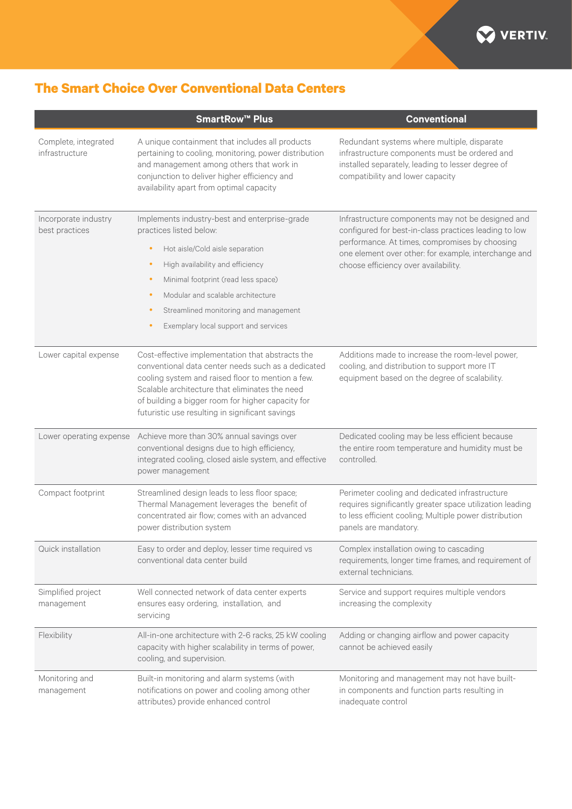

### **The Smart Choice Over Conventional Data Centers**

|                                        | <b>SmartRow™ Plus</b>                                                                                                                                                                                                                                                                                                                                                         | <b>Conventional</b>                                                                                                                                                                                                                                          |  |  |  |
|----------------------------------------|-------------------------------------------------------------------------------------------------------------------------------------------------------------------------------------------------------------------------------------------------------------------------------------------------------------------------------------------------------------------------------|--------------------------------------------------------------------------------------------------------------------------------------------------------------------------------------------------------------------------------------------------------------|--|--|--|
| Complete, integrated<br>infrastructure | A unique containment that includes all products<br>pertaining to cooling, monitoring, power distribution<br>and management among others that work in<br>conjunction to deliver higher efficiency and<br>availability apart from optimal capacity                                                                                                                              | Redundant systems where multiple, disparate<br>infrastructure components must be ordered and<br>installed separately, leading to lesser degree of<br>compatibility and lower capacity                                                                        |  |  |  |
| Incorporate industry<br>best practices | Implements industry-best and enterprise-grade<br>practices listed below:<br>Hot aisle/Cold aisle separation<br>$\bullet$<br>High availability and efficiency<br>$\bullet$<br>Minimal footprint (read less space)<br>$\bullet$<br>Modular and scalable architecture<br>$\bullet$<br>Streamlined monitoring and management<br>$\bullet$<br>Exemplary local support and services | Infrastructure components may not be designed and<br>configured for best-in-class practices leading to low<br>performance. At times, compromises by choosing<br>one element over other: for example, interchange and<br>choose efficiency over availability. |  |  |  |
| Lower capital expense                  | Cost-effective implementation that abstracts the<br>conventional data center needs such as a dedicated<br>cooling system and raised floor to mention a few.<br>Scalable architecture that eliminates the need<br>of building a bigger room for higher capacity for<br>futuristic use resulting in significant savings                                                         | Additions made to increase the room-level power,<br>cooling, and distribution to support more IT<br>equipment based on the degree of scalability.                                                                                                            |  |  |  |
| Lower operating expense                | Achieve more than 30% annual savings over<br>conventional designs due to high efficiency,<br>integrated cooling, closed aisle system, and effective<br>power management                                                                                                                                                                                                       | Dedicated cooling may be less efficient because<br>the entire room temperature and humidity must be<br>controlled.                                                                                                                                           |  |  |  |
| Compact footprint                      | Streamlined design leads to less floor space;<br>Thermal Management leverages the benefit of<br>concentrated air flow; comes with an advanced<br>power distribution system                                                                                                                                                                                                    | Perimeter cooling and dedicated infrastructure<br>requires significantly greater space utilization leading<br>to less efficient cooling; Multiple power distribution<br>panels are mandatory.                                                                |  |  |  |
| Quick installation                     | Easy to order and deploy, lesser time required vs<br>conventional data center build                                                                                                                                                                                                                                                                                           | Complex installation owing to cascading<br>requirements, longer time frames, and requirement of<br>external technicians.                                                                                                                                     |  |  |  |
| Simplified project<br>management       | Well connected network of data center experts<br>ensures easy ordering, installation, and<br>servicing                                                                                                                                                                                                                                                                        | Service and support requires multiple vendors<br>increasing the complexity                                                                                                                                                                                   |  |  |  |
| Flexibility                            | All-in-one architecture with 2-6 racks, 25 kW cooling<br>capacity with higher scalability in terms of power,<br>cooling, and supervision.                                                                                                                                                                                                                                     | Adding or changing airflow and power capacity<br>cannot be achieved easily                                                                                                                                                                                   |  |  |  |
| Monitoring and<br>management           | Built-in monitoring and alarm systems (with<br>notifications on power and cooling among other<br>attributes) provide enhanced control                                                                                                                                                                                                                                         | Monitoring and management may not have built-<br>in components and function parts resulting in<br>inadequate control                                                                                                                                         |  |  |  |